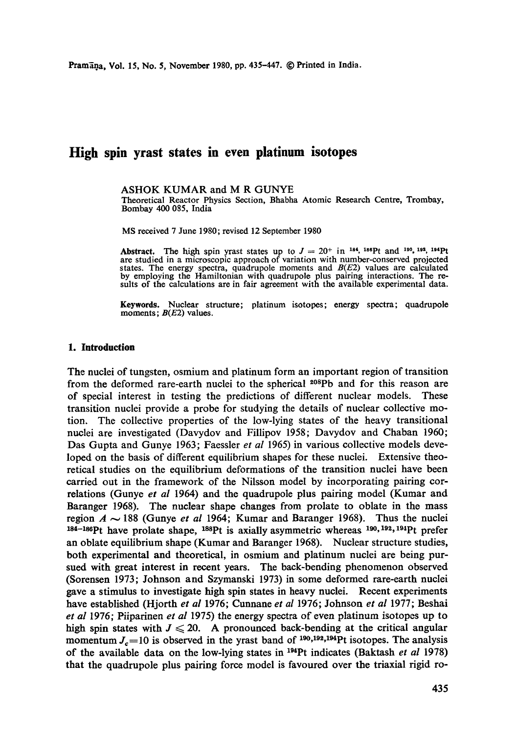# **High spin yrast states in even platinum isotopes**

#### ASHOK KUMAR and M R GUNYE

Theoretical Reactor Physics Section, Bhabha Atomic Research Centre, Trombay, Bombay 400 085, India

MS received 7 June 1980; revised 12 September 1980

Abstract. The high spin yrast states up to  $J = 20^+$  in <sup>184</sup>, <sup>186</sup>Pt and <sup>190</sup>, <sup>192</sup>, <sup>194</sup>Pt are studied in a microscopic approach of variation with number-conserved projected states. The energy spectra, quadrupole moments and  $B(E2)$  values are calculated by employing the Hamiltonian with quadrupole plus pairing interactions. The resuits of the calculations are in fair agreement with the available experimental data.

**Keywords.** Nuclear structure; platinum isotopes; energy spectra; quadrupole moments;  $B(E2)$  values.

#### **1. Introduction**

The nuclei of tungsten, osmium and platinum form an important region of transition from the deformed rare-earth nuclei to the spherical  $208Pb$  and for this reason are of special interest in testing the predictions of different nuclear models. These transition nuclei provide a probe for studying the details of nuclear collective motion. The collective properties of the low-lying states of the heavy transitional nuclei are investigated (Davydov and Fillipov 1958; Davydov and Chaban 1960; Das Gupta and Gunye 1963; Faessler *et al* 1965) in various collective models developed on the basis of different equilibrium shapes for these nuclei. Extensive theoretical studies on the equilibrium deformations of the transition nuclei have been carried out in the framework of the Nilsson model by incorporating pairing correlations (Gunye *et al* 1964) and the quadrupole plus pairing model (Kumar and Baranger 1968). The nuclear shape changes from prolate to oblate in the mass region  $A \sim 188$  (Gunye *et al* 1964; Kumar and Baranger 1968). Thus the nuclei  $184-186$ Pt have prolate shape,  $188$ Pt is axially asymmetric whereas  $190, 192, 194$ Pt prefer an oblate equilibrium shape (Kumar and Baranger 1968). Nuclear structure studies, both experimental and theoretical, in osmium and platinum nuclei are being pursued with great interest in recent years. The back-bending phenomenon observed (Sorensen 1973; Johnson and Szymanski 1973) in some deformed rare-earth nuclei gave a stimulus to investigate high spin states in heavy nuclei. Recent experiments have established (Hjorth *et al* 1976; Cunnane *et al* 1976; Johnson *et al* 1977; Beshai *et al* 1976; Piiparinen *et al* 1975) the energy spectra of even platinum isotopes up to high spin states with  $J \le 20$ . A pronounced back-bending at the critical angular momentum  $J<sub>c</sub>=10$  is observed in the yrast band of  $190,192,194$ Pt isotopes. The analysis of the available data on the low-lying states in <sup>194</sup>Pt indicates (Baktash *et al* 1978) that the quadrupole plus pairing force model is favoured over the triaxial rigid ro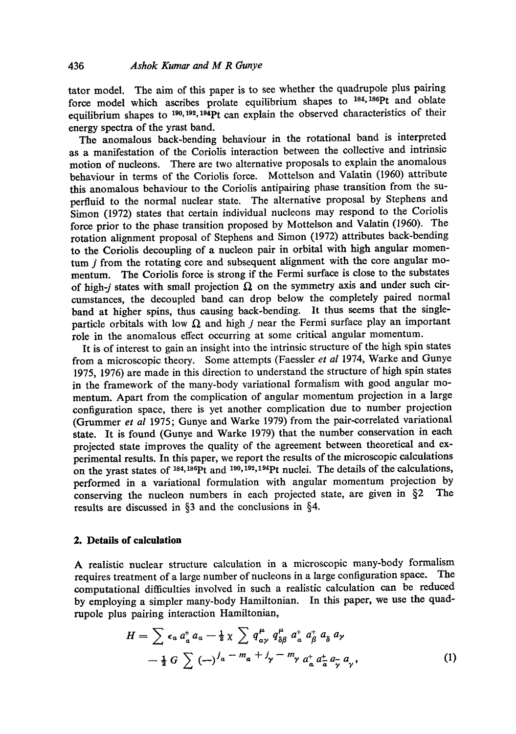tator model. The aim of this paper is to see whether the quadrupole plus pairing force model which ascribes prolate equilibrium shapes to <sup>184, 186</sup>Pt and oblate equilibrium shapes to  $^{190,192,194}$ Pt can explain the observed characteristics of their energy spectra of the yrast band.

The anomalous back-bending behaviour in the rotational band is interpreted as a manifestation of the Coriolis interaction between the collective and intrinsic motion of nucleons. There are two alternative proposals to explain the anomalous behaviour in terms of the Coriolis force. Mottelson and Valatin (1960) attribute this anomalous behaviour to the Coriolis antipairing phase transition from the superfluid to the normal nuclear state. The alternative proposal by Stephens and Simon (1972) states that certain individual nucleons may respond to the Coriolis force prior to the phase transition proposed by Mottelson and Valatin (1960). The rotation alignment proposal of Stephens and Simon (1972) attributes back-bending to the Coriolis decoupling of a nucleon pair in orbital with high angular momentum *j* from the rotating core and subsequent alignment with the core angular momentum. The Coriolis force is strong if the Fermi surface is close to the substates of high-j states with small projection  $\Omega$  on the symmetry axis and under such circumstances, the decoupled band can drop below the completely paired normal band at higher spins, thus causing back-bending. It thus seems that the singleparticle orbitals with low  $\Omega$  and high j near the Fermi surface play an important role in the anomalous effect occurring at some critical angular momentum.

It is of interest to gain an insight into the intrinsic structure of the high spin states from a microscopic theory. Some attempts (Faessler *et al* 1974, Warke and Gunye 1975, 1976) are made in this direction to understand the structure of high spin states in the framework of the many-body variational formalism with good angular momentum. Apart from the complication of angular momentum projection in a large configuration space, there is yet another complication due to number projection (Grummer *et al* 1975; Gunye and Warke 1979) from the pair-correlated variational state. It is found (Gunye and Warke 1979) that the number conservation in each projected state improves the quality of the agreement between theoretical and experimental results. In this paper, we report the results of the microscopic calculations on the yrast states of  $^{184,186}$ Pt and  $^{190,192,194}$ Pt nuclei. The details of the calculations, performed in a variational formulation with angular momentum projection by conserving the nucleon numbers in each projected state, are given in  $\delta$ 2. The conserving the nucleon numbers in each projected state, are given in  $\S2$ results are discussed in §3 and the conclusions in §4.

## **2. Details of calculation**

A realistic nuclear structure calculation in a microscopic many-body formalism requires treatment of a large number of nucleons in a large configuration space. The computational difficulties involved in such a realistic calculation can be reduced by employing a simpler many-body Hamiltonian. In this paper, we use the quadrupole plus pairing interaction Hamiltonian,

$$
H = \sum \epsilon_a a^{\dagger}_a a_a - \frac{1}{2} \chi \sum q^{\mu}_{\alpha\gamma} q^{\mu}_{\delta\beta} a^{\dagger}_{\delta} a^{\dagger}_{\delta} a_{\delta} a_{\gamma}
$$
  
-  $\frac{1}{2} G \sum (\rightarrow)^{j} a^{-m} a^{+j} \gamma^{-m} \gamma a^{\dagger}_{\delta} a^{\dagger}_{\sigma} a_{\gamma} a_{\gamma}$ , (1)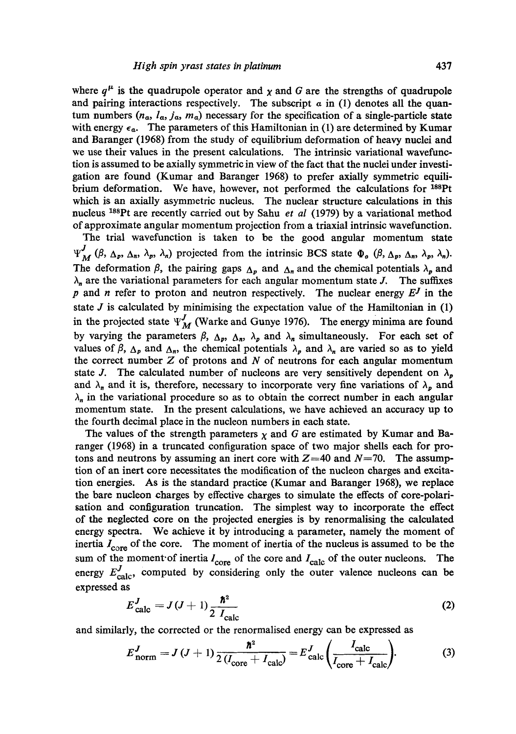where  $q^{\mu}$  is the quadrupole operator and  $\chi$  and G are the strengths of quadrupole and pairing interactions respectively. The subscript  $\alpha$  in (1) denotes all the quantum numbers  $(n_{a}, l_{a}, j_{a}, m_{a})$  necessary for the specification of a single-particle state with energy  $\epsilon_a$ . The parameters of this Hamiltonian in (1) are determined by Kumar and Baranger (1968) from the study of equilibrium deformation of heavy nuclei and we use their values in the present calculations. The intrinsic variational wavefunction is assumed to be axially symmetric in view of the fact that the nuclei under investigation are found (Kumar and Baranger 1968) to prefer axially symmetric equilibrium deformation. We have, however, not performed the calculations for  $^{188}Pt$ which is an axially asymmetric nucleus. The nuclear structure calculations in this nucleus xssPt are recently carried out by Sahu *et al* (1979) by a variational method of approximate angular momentum projection from a triaxial intrinsic wavefunction.

The trial wavefunction is taken to be the good angular momentum state  $\Psi_M^J$  ( $\beta$ ,  $\Delta_p$ ,  $\Delta_n$ ,  $\lambda_p$ ,  $\lambda_n$ ) projected from the intrinsic BCS state  $\Phi_o$  ( $\beta$ ,  $\Delta_p$ ,  $\Delta_n$ ,  $\lambda_p$ ,  $\lambda_n$ ). The deformation  $\beta$ , the pairing gaps  $\Delta_p$  and  $\Delta_n$  and the chemical potentials  $\lambda_p$  and  $\lambda_n$  are the variational parameters for each angular momentum state J. The suffixes p and n refer to proton and neutron respectively. The nuclear energy  $E<sup>J</sup>$  in the state  $J$  is calculated by minimising the expectation value of the Hamiltonian in  $(1)$ in the projected state  $\Psi_M^J$  (Warke and Gunye 1976). The energy minima are found by varying the parameters  $\beta$ ,  $\Delta_p$ ,  $\Delta_n$ ,  $\lambda_p$  and  $\lambda_n$  simultaneously. For each set of values of  $\beta$ ,  $\Delta_p$  and  $\Delta_p$ , the chemical potentials  $\lambda_p$  and  $\lambda_n$  are varied so as to yield the correct number  $Z$  of protons and  $N$  of neutrons for each angular momentum state J. The calculated number of nucleons are very sensitively dependent on  $\lambda_p$ and  $\lambda_n$  and it is, therefore, necessary to incorporate very fine variations of  $\lambda_p$  and  $\lambda_n$  in the variational procedure so as to obtain the correct number in each angular momentum state. In the present calculations, we have achieved an accuracy up to the fourth decimal place in the nucleon numbers in each state.

The values of the strength parameters  $\chi$  and G are estimated by Kumar and Baranger (1968) in a truncated configuration space of two major shells each for protons and neutrons by assuming an inert core with  $Z=40$  and  $N=70$ . The assumption of an inert core necessitates the modification of the nucleon charges and excitation energies. As is the standard practice (Kumar and Baranger 1968), we replace the bare nucleon charges by effective charges to simulate the effects of core-polarisation and configuration truncation. The simplest way to incorporate the effect of the neglected core on the projected energies is by renormalising the calculated energy spectra. We achieve it by introducing a parameter, namely the moment of inertia  $I_{\text{core}}$  of the core. The moment of inertia of the nucleus is assumed to be the sum of the moment of inertia  $I_{\text{core}}$  of the core and  $I_{\text{calc}}$  of the outer nucleons. The energy  $E_{\text{calc}}^J$ , computed by considering only the outer valence nucleons can be expressed as

$$
E_{\text{calc}}^{J} = J(J+1) \frac{\hbar^2}{2 I_{\text{calc}}}
$$
 (2)

and similarly, the corrected or the renormalised energy can be expressed as

$$
E_{\text{norm}}^{J} = J\left(J+1\right) \frac{\hbar^2}{2\left(I_{\text{core}} + I_{\text{calc}}\right)} = E_{\text{calc}}^{J} \left(\frac{I_{\text{calc}}}{I_{\text{core}} + I_{\text{calc}}}\right). \tag{3}
$$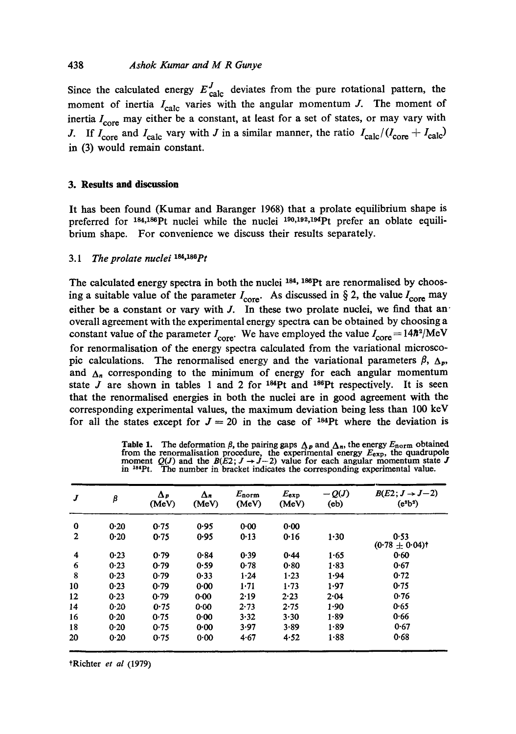## 438 *Ashok Kumar and M R Gunye*

Since the calculated energy  $E_{\text{calc}}^{J}$  deviates from the pure rotational pattern, the moment of inertia  $I_{\text{calc}}$  varies with the angular momentum J. The moment of inertia  $I_{\rm core}$  may either be a constant, at least for a set of states, or may vary with J. If  $I_{\text{core}}$  and  $I_{\text{calc}}$  vary with J in a similar manner, the ratio  $I_{\text{calc}}/(I_{\text{core}} + I_{\text{calc}} )$ in (3) would remain constant.

#### **3. Results and discussion**

It has been found (Kumar and Baranger 1968) that a prolate equilibrium shape is preferred for  $184,186$  Pt nuclei while the nuclei  $190,192,194$  Pt prefer an oblate equilibrium shape. For convenience we discuss their results separately.

# 3.1 The prolate nuclei  $184,186$   $Pt$

The calculated energy spectra in both the nuclei  $^{184}$ ,  $^{186}$ Pt are renormalised by choosing a suitable value of the parameter  $I_{\text{core}}$ . As discussed in § 2, the value  $I_{\text{core}}$  may either be a constant or vary with  $J$ . In these two prolate nuclei, we find that anoverall agreement with the experimental energy spectra can be obtained by choosing a constant value of the parameter  $I_{\text{core}}$ . We have employed the value  $I_{\text{core}} = 14\hbar^2/\text{MeV}$ for renormalisation of the energy spectra calculated from the variational microscopic calculations. The renormalised energy and the variational parameters  $\beta$ ,  $\Delta_p$ , and  $\Delta_n$  corresponding to the minimum of energy for each angular momentum state  $J$  are shown in tables 1 and 2 for  $184Pt$  and  $186Pt$  respectively. It is seen that the renormalised energies in both the nuclei are in good agreement with the corresponding experimental values, the maximum deviation being less than 100 keV for all the states except for  $J = 20$  in the case of <sup>184</sup>Pt where the deviation is

Table 1. The deformation  $\beta$ , the pairing gaps  $\Delta_p$  and  $\Delta_n$ , the energy  $E_{\text{norm}}$  obtained<br>from the renormalisation procedure, the experimental energy  $E_{\text{exp}}$ , the quadrupole<br>moment  $Q(J)$  and the  $B(E2; J \rightarrow J-2)$  value

| J                       | β    | $\Delta p$<br>(MeV) | Δл<br>(MeV) | $E_{norm}$<br>(MeV) | $E_{\rm exp}$<br>(MeV) | $-Q(J)$<br>(e <sub>b</sub> ) | $B(E2; J \rightarrow J-2)$<br>$(e^a b^2)$ |
|-------------------------|------|---------------------|-------------|---------------------|------------------------|------------------------------|-------------------------------------------|
| 0                       | 0.20 | 0.75                | 0.95        | 0.00                | 0.00                   |                              |                                           |
| $\mathbf{2}$            | 0.20 | 0.75                | 0.95        | 0.13                | 0.16                   | $1 - 30$                     | 0.53<br>$(0.78 \pm 0.04)$ t               |
| $\overline{\mathbf{4}}$ | 0.23 | 0.79                | 0.84        | 0.39                | 0.44                   | 1.65                         | 0.60                                      |
| 6                       | 0.23 | 0.79                | 0.59        | 0.78                | 0.80                   | $1 - 83$                     | 0.67                                      |
| 8                       | 0.23 | 0.79                | 0.33        | 1.24                | 1.23                   | 1.94                         | 0.72                                      |
| 10                      | 0.23 | 0.79                | 0.00        | $1-71$              | 1.73                   | 1.97                         | 0.75                                      |
| 12                      | 0.23 | 0.79                | 0.00        | 2.19                | 2.23                   | 2.04                         | 0.76                                      |
| 14                      | 0.20 | 0.75                | 0.00        | 2.73                | $2 - 75$               | 1.90                         | 0.65                                      |
| 16                      | 0.20 | 0.75                | 0.00        | 3.32                | 3.30                   | $1 - 89$                     | 0.66                                      |
| 18                      | 0.20 | 0.75                | 0.00        | 3.97                | $3 - 89$               | 1.89                         | 0.67                                      |
| 20                      | 0.20 | 0.75                | 0.00        | 4.67                | 4.52                   | 1.88                         | 0.68                                      |

?Richter *et al* (1979)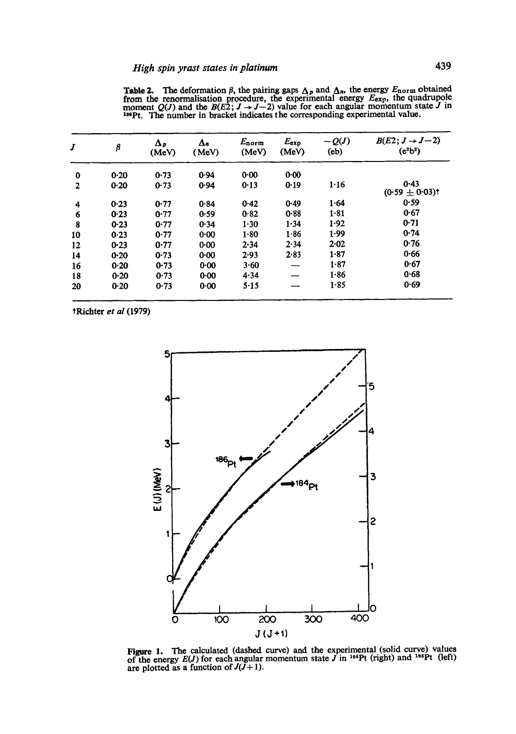| J        | $\pmb{\beta}$ | $\Delta_{P}$<br>(MeV) | Δĸ<br>(MeV) | $E_{\rm norm}$<br>(MeV) | $E_{\tt exp}$<br>(MeV) | $-Q(J)$<br>(e <sub>b</sub> ) | $B(E2; J \rightarrow J-2)$<br>$(e^2b^2)$ |
|----------|---------------|-----------------------|-------------|-------------------------|------------------------|------------------------------|------------------------------------------|
| $\bf{0}$ | $0-20$        | 0.73                  | 0.94        | 0.00                    | 0.00                   |                              |                                          |
| 2        | 0.20          | 0.73                  | 0.94        | 0.13                    | 0.19                   | 1.16                         | 0.43<br>$(0.59 \pm 0.03)$ t              |
| 4        | 0.23          | 0.77                  | 0.84        | 0.42                    | 0.49                   | 1.64                         | 0.59                                     |
| 6        | 0.23          | 0.77                  | 0.59        | 0.82                    | 0.88                   | 1.81                         | 0.67                                     |
| 8        | 0.23          | 0.77                  | 0.34        | 1.30                    | 1.34                   | 1.92                         | 0.71                                     |
| 10       | 0.23          | 0.77                  | 0.00        | 1.80                    | 1.86                   | 1.99                         | 0.74                                     |
| 12       | 0.23          | 0.77                  | 0.00        | 2.34                    | 2.34                   | 2.02                         | 0.76                                     |
| 14       | 0.20          | 0.73                  | 0.00        | 2.93                    | 2.83                   | 1.87                         | 0.66                                     |
| 16       | 0.20          | 0.73                  | 0.00        | 3.60                    |                        | 1.87                         | 0.67                                     |
| 18       | 0.20          | 0.73                  | 0.00        | 4.34                    |                        | 1.86                         | 0.68                                     |
| 20       | 0.20          | 0.73                  | 0.00        | $5 - 15$                |                        | 1.85                         | 0.69                                     |

**Table 2.** The deformation  $\beta$ , the pairing gaps  $\Delta_p$  and  $\Delta_n$ , the energy  $E_{\text{norm}}$  obtained from the renormalisation procedure, the experimental energy  $E_{\text{exp}}$ , the quadrupole moment  $Q(J)$  and the  $B(E2; J \rightarrow J-2)$  value for each angular momentum state J in 189Pt. The number in bracket indicates the corresponding

tRichtcr *et al* (1979)



**Figure 1.** The calculated (dashed curve) and the experimental (solid curve) values of the energy  $E(J)$  for each angular momentum state J in  $^{184}Pt$  (right) and  $^{186}Pt$  (left) are plotted as a function of  $J(J+1)$ .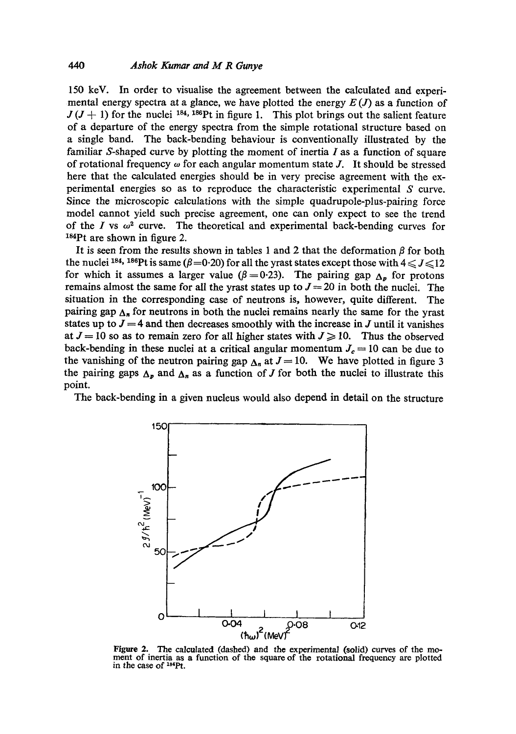150 keV. In order to visualise the agreement between the calculated and experimental energy spectra at a glance, we have plotted the energy  $E(J)$  as a function of  $J (J + 1)$  for the nuclei <sup>184, 186</sup>Pt in figure 1. This plot brings out the salient feature of a departure of the energy spectra from the simple rotational structure based on a single band. The back-bending behaviour is conventionally illustrated by the familiar S-shaped curve by plotting the moment of inertia  $I$  as a function of square of rotational frequency  $\omega$  for each angular momentum state J. It should be stressed here that the calculated energies should be in very precise agreement with the experimental energies so as to reproduce the characteristic experimental S curve. Since the microscopic calculations with the simple quadrupole-plus-pairing force model cannot yield such precise agreement, one can only expect to see the trend of the I vs  $\omega^2$  curve. The theoretical and experimental back-bending curves for  $184$ Pt are shown in figure 2.

It is seen from the results shown in tables 1 and 2 that the deformation  $\beta$  for both the nuclei 184, 186Pt is same ( $\beta$ =0.20) for all the yrast states except those with  $4 \leq J \leq 12$ for which it assumes a larger value ( $\beta$  = 0.23). The pairing gap  $\Delta_p$  for protons remains almost the same for all the yrast states up to  $J = 20$  in both the nuclei. The situation in the corresponding case of neutrons is, however, quite different. The pairing gap  $\Delta_n$  for neutrons in both the nuclei remains nearly the same for the yrast states up to  $J = 4$  and then decreases smoothly with the increase in J until it vanishes at  $J = 10$  so as to remain zero for all higher states with  $J \ge 10$ . Thus the observed back-bending in these nuclei at a critical angular momentum  $J_c = 10$  can be due to the vanishing of the neutron pairing gap  $\Delta_n$  at  $J = 10$ . We have plotted in figure 3 the pairing gaps  $\Delta_p$  and  $\Delta_n$  as a function of J for both the nuclei to illustrate this point.

The back-bending in a given nucleus would also depend in detail on the structure



Figure 2. The calculated (dashed) and the experimental (solid) curves of the moment of inertia as a function of the square of the rotational frequency are plotted in the case of <sup>184</sup>Pt.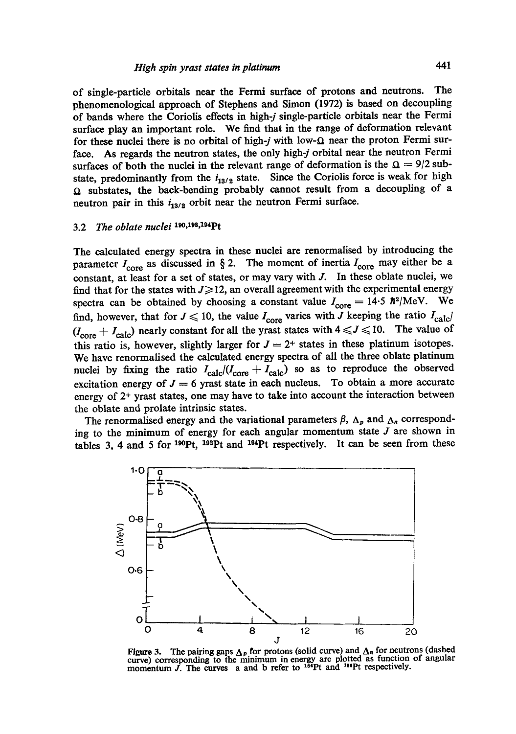of single-particle orbitals near the Fermi surface of protons and neutrons. The phenomenological approach of Stephens and Simon (1972) is based on decoupling of bands where the Coriolis effects in high-j single-particle orbitals near the Fermi surface play an important role. We find that in the range of deformation relevant for these nuclei there is no orbital of high-j with low- $\Omega$  near the proton Fermi surface. As regards the neutron states, the only high-j orbital near the neutron Fermi surfaces of both the nuclei in the relevant range of deformation is the  $\Omega = 9/2$  substate, predominantly from the  $i_{13/2}$  state. Since the Coriolis force is weak for high  $\Omega$  substates, the back-bending probably cannot result from a decoupling of a neutron pair in this  $i_{13/2}$  orbit near the neutron Fermi surface.

# 3.2 *The oblate nuclei* <sup>190,192,194</sup>Pt

The calculated energy spectra in these nuclei are renormalised by introducing the parameter  $I_{\text{core}}$  as discussed in § 2. The moment of inertia  $I_{\text{core}}$  may either be a constant, at least for a set of states, or may vary with J. In these oblate nuclei, we find that for the states with  $J \ge 12$ , an overall agreement with the experimental energy spectra can be obtained by choosing a constant value  $I_{\text{core}} = 14.5 \hbar^2/\text{MeV}$ . We find, however, that for  $J \le 10$ , the value  $I_{\text{core}}$  varies with J keeping the ratio  $I_{\text{calc}}/I$  $(I_{\text{core}} + I_{\text{calc}})$  nearly constant for all the yrast states with  $4 \leq J \leq 10$ . The value of this ratio is, however, slightly larger for  $J = 2^+$  states in these platinum isotopes. We have renormalised the calculated energy spectra of all the three oblate platinum nuclei by fixing the ratio  $I_{\text{calc}}/(I_{\text{core}} + I_{\text{calc}})$  so as to reproduce the observed excitation energy of  $J = 6$  yrast state in each nucleus. To obtain a more accurate energy of  $2<sup>+</sup>$  yrast states, one may have to take into account the interaction between the oblate and prelate intrinsic states.

The renormalised energy and the variational parameters  $\beta$ ,  $\Delta_p$  and  $\Delta_n$  corresponding to the minimum of energy for each angular momentum state  $J$  are shown in tables 3, 4 and 5 for  $190$ Pt,  $192$ Pt and  $194$ Pt respectively. It can be seen from these



Figure 3. The pairing gaps  $\Delta_p$  for protons (solid curve) and  $\Delta_n$  for neutrons (dashed curve) corresponding to the minimum in energy are plotted as function of angular momentum  $\tilde{J}$ . The curves a and b refer to  $184$ Pt and  $186$ Pt respectively.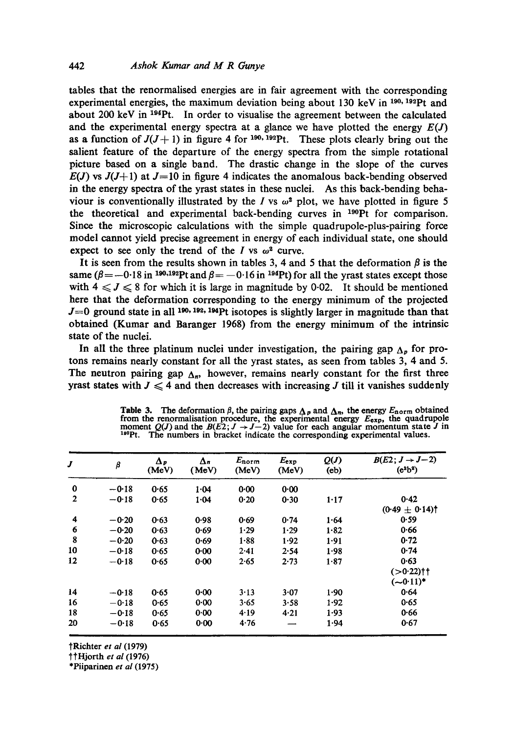tables that the renormalised energies are in fair agreement with the corresponding experimental energies, the maximum deviation being about 130 keV in  $190,193$  pt and about 200 keV in  $^{194}$ Pt. In order to visualise the agreement between the calculated and the experimental energy spectra at a glance we have plotted the energy  $E(J)$ as a function of  $J(J+1)$  in figure 4 for <sup>190, 192</sup>Pt. These plots clearly bring out the salient feature of the departure of the energy spectra from the simple rotational picture based on a single band. The drastic change in the slope of the curves  $E(J)$  vs  $J(J+1)$  at  $J=10$  in figure 4 indicates the anomalous back-bending observed in the energy spectra of the yrast states in these nuclei. As this back-bending behaviour is conventionally illustrated by the I vs  $\omega^2$  plot, we have plotted in figure 5 the theoretical and experimental back-bending curves in  $^{190}$ Pt for comparison. Since the microscopic calculations with the simple quadrupole-plus-pairing force model cannot yield precise agreement in energy of each individual state, one should expect to see only the trend of the I vs  $\omega^2$  curve.

It is seen from the results shown in tables 3, 4 and 5 that the deformation  $\beta$  is the same ( $\beta = -0.18$  in <sup>190,192</sup>Pt and  $\beta = -0.16$  in <sup>194</sup>Pt) for all the yrast states except those with  $4 \leq J \leq 8$  for which it is large in magnitude by 0.02. It should be mentioned here that the deformation corresponding to the energy minimum of the projected  $J=0$  ground state in all 190, 192, 194Pt isotopes is slightly larger in magnitude than that obtained (Kumar and Baranger 1968) from the energy minimum of the intrinsic state of the nuclei.

In all the three platinum nuclei under investigation, the pairing gap  $\Lambda_p$  for protons remains nearly constant for all the yrast states, as seen from tables 3, 4 and 5. The neutron pairing gap  $\Delta_n$ , however, remains nearly constant for the first three yrast states with  $J \leq 4$  and then decreases with increasing J till it vanishes suddenly

| J              | β       | $\Delta_{\nu}$<br>(MeV) | $\Delta_n$<br>(MeV) | $E_{norm}$<br>(MeV) | $E_{exp}$<br>(MeV) | Q(J)<br>(e <sub>b</sub> ) | $B(E2; J \rightarrow J-2)$<br>$(e^a b^a)$ |
|----------------|---------|-------------------------|---------------------|---------------------|--------------------|---------------------------|-------------------------------------------|
| $\bf{0}$       | $-0.18$ | 0.65                    | 1.04                | 0.00                | 0.00               |                           |                                           |
| $\overline{2}$ | $-0.18$ | 0.65                    | 1.04                | 0.20                | 0.30               | $1 - 17$                  | 0.42<br>$(0.49 \pm 0.14)$                 |
| 4              | $-0.20$ | 0.63                    | 0.98                | 0.69                | 0.74               | 1.64                      | 0.59                                      |
| 6              | $-0.20$ | 0.63                    | 0.69                | 1.29                | 1.29               | $1 - 82$                  | 0.66                                      |
| 8              | $-0.20$ | 0.63                    | 0.69                | $1 - 88$            | 1.92               | 1.91                      | 0.72                                      |
| 10             | $-0.18$ | 0.65                    | 0.00                | 2.41                | 2.54               | 1.98                      | 0.74                                      |
| 12             | $-0.18$ | 0.65                    | 0.00                | 2.65                | 2.73               | 1.87                      | 0.63<br>(>0.22)††<br>$(-0.11)^*$          |
| 14             | $-0.18$ | 0.65                    | $0 - 00$            | 3.13                | 3.07               | 1.90                      | 0.64                                      |
| 16             | $-0.18$ | 0.65                    | $0 - 00$            | 3.65                | 3.58               | 1.92                      | 0.65                                      |
| 18             | $-0.18$ | 0.65                    | 0.00                | 4.19                | 4.21               | 1.93                      | 0.66                                      |
| 20             | $-0.18$ | 0.65                    | 0.00                | 4.76                |                    | 1 94                      | 0.67                                      |

**Table 3.** The deformation  $\beta$ , the pairing gaps  $\Delta_p$  and  $\Delta_n$ , the energy  $E_{\text{norm}}$  obtained from the renormalisation procedure, the experimental energy  $E_{\text{exp}}$ , the quadrupole moment  $Q(J)$  and the  $B(E2; J \rightarrow J-2)$  val l'°Pt. The numbers in bracket indicate the corresponding experimental values.

?Richter *et al* (1979)

??Hjorth *et al* (1976)

\*Piiparinen *et al* (1975)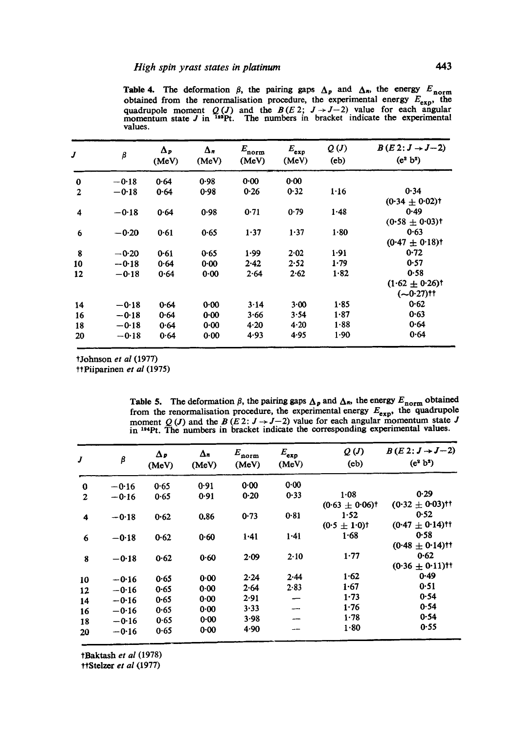Table 4. The deformation  $\beta$ , the pairing gaps  $\Delta_p$  and  $\Delta_n$ , the energy  $E_{\text{norm}}$ obtained from the renormalisation procedure, the experimental energy  $E_{\text{exp}}$ , the quadrupole moment  $Q(J)$  and the  $B(E2; J \rightarrow J-2)$  value for each angular momentum state J in <sup>192</sup>Pt. The numbers in bracket indicate the experimental values.

| J              | β       | Δp<br>(MeV) | Δ.<br>(MeV) | $E_{\rm norm}$<br>(MeV) | $E_{\tt exp}$<br>(MeV) | Q(J)<br>(e <sub>b</sub> ) | $B(E2:J\rightarrow J-2)$<br>$(e^2 b^2)$ |
|----------------|---------|-------------|-------------|-------------------------|------------------------|---------------------------|-----------------------------------------|
| $\bf{0}$       | $-0.18$ | 0.64        | 0.98        | 0.00                    | 0.00                   |                           |                                         |
| $\overline{2}$ | $-0.18$ | 0.64        | 0.98        | 0.26                    | 0.32                   | 1.16                      | 0.34                                    |
|                |         |             |             |                         |                        |                           | $(0.34 + 0.02)$ t                       |
| 4              | $-0.18$ | 0.64        | 0.98        | 0.71                    | 0.79                   | $1 - 48$                  | 0.49                                    |
|                |         |             |             |                         |                        |                           | $(0.58 \pm 0.03)$ t                     |
| 6              | $-0.20$ | 0.61        | 0.65        | 1.37                    | 1.37                   | 1.80                      | 0.63                                    |
|                |         |             |             |                         |                        |                           | $(0.47 + 0.18)$ t                       |
| 8              | $-0.20$ | $0 - 61$    | 0.65        | 1.99                    | 2.02                   | 1.91                      | 0.72                                    |
| 10             | $-0.18$ | 0.64        | $0 - 00$    | 2.42                    | 2.52                   | 1.79                      | 0.57                                    |
| 12             | $-0.18$ | 0.64        | 0.00        | 2.64                    | 2.62                   | 1.82                      | 0.58                                    |
|                |         |             |             |                         |                        |                           | $(1.62 \pm 0.26)$                       |
|                |         |             |             |                         |                        |                           | $(-0.27)$ tt                            |
| 14             | $-0.18$ | 0.64        | 0.00        | 3.14                    | 3.00                   | $1 - 85$                  | 0.62                                    |
| 16             | $-0.18$ | 0.64        | 0.00        | 3.66                    | 3.54                   | 1.87                      | 0.63                                    |
| 18             | $-0.18$ | 0.64        | 0.00        | 4.20                    | 4.20                   | 1.88                      | 0.64                                    |
| 20             | $-0.18$ | 0.64        | 0.00        | 4.93                    | 4.95                   | 1.90                      | 0.64                                    |

?Johnson *et al* (1977)

t?Piiparinen *et al* (1975)

Table 5. The deformation  $\beta$ , the pairing gaps  $\Delta_p$  and  $\Delta_n$ , the energy  $E_{\text{norm}}$  obtained from the renormalisation procedure, the experimental energy  $E_{\text{exp}}$ , the quadrupole moment Q (J) and the B (E 2:  $J \rightarrow J-2$ ) value for each angular momentum state J in <sup>194</sup>Pt. The numbers in bracket indicate the corresponding experimental values.

| J            | β       | $\Delta p$<br>(MeV) | $\Delta n$<br>(MeV) | $E_{\rm norm}$<br>(MeV) | $E_{exp}$<br>(MeV) | Q(J)<br>(e <sub>b</sub> ) | $B(E2:J\rightarrow J-2)$<br>$(e^2 b^2)$ |
|--------------|---------|---------------------|---------------------|-------------------------|--------------------|---------------------------|-----------------------------------------|
| $\bf{0}$     | $-0.16$ | 0.65                | 0.91                | 0.00                    | 0.00               |                           |                                         |
| $\mathbf{z}$ | $-0.16$ | 0.65                | 0.91                | 0.20                    | 0.33               | $1 - 08$                  | 0.29                                    |
|              |         |                     |                     |                         |                    | $(0.63 \pm 0.06)$ t       | $(0.32 \pm 0.03)$ <sup>††</sup>         |
| 4            | $-0.18$ | 0.62                | 0.86                | 0.73                    | 0.81               | 1.52                      | 0.52                                    |
|              |         |                     |                     |                         |                    | $(0.5 \pm 1.0)$ t         | $\pm$ 0.14)tt<br>(0.47)                 |
| 6            | $-0.18$ | 0.62                | 0.60                | $1 - 41$                | $1 - 41$           | 1.68                      | 0.58                                    |
|              |         |                     |                     |                         |                    |                           | $(0.48 \pm 0.14)$ tt                    |
| 8            | $-0.18$ | 0.62                | 0.60                | 2.09                    | 2.10               | 1.77                      | 0.62                                    |
|              |         |                     |                     |                         |                    |                           | $(0.36 \pm 0.11)$ tt                    |
| 10           | $-0.16$ | 0.65                | 0.00                | 2.24                    | 2.44               | 1.62                      | 0.49                                    |
| 12           | $-0.16$ | 0.65                | 0.00                | 2.64                    | 2.83               | 1.67                      | 0.51                                    |
| 14           | $-0.16$ | 0.65                | 0.00                | 2.91                    |                    | 1.73                      | 0.54                                    |
| 16           | $-0.16$ | 0.65                | 0.00                | $3 - 33$                |                    | 1.76                      | 0.54                                    |
|              | $-0.16$ | 0.65                | 0.00                | 3.98                    |                    | 1.78                      | 0.54                                    |
| 18           | $-0.16$ | 0.65                | 0.00                | 4.90                    |                    | 1.80                      | 0.55                                    |
| 20           |         |                     |                     |                         |                    |                           |                                         |

tBaktash *et al* (1978)

ttStelzer *et al* (1977)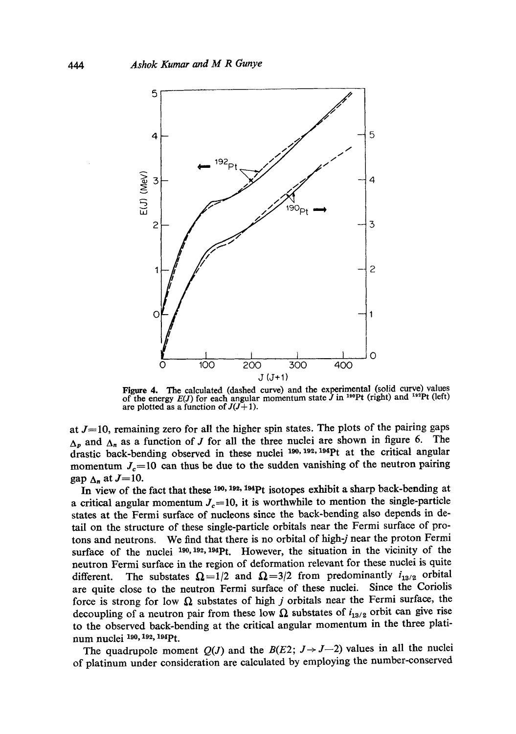

Figure 4. The calculated (dashed curve) and the experimental (solid curve) values of the energy  $E(J)$  for each angular momentum state  $J$  in <sup>190</sup>Pt (right) and <sup>192</sup>Pt (left) are plotted as a function of  $J(J+1)$ .

at  $J=10$ , remaining zero for all the higher spin states. The plots of the pairing gaps  $\Delta_p$  and  $\Delta_n$  as a function of J for all the three nuclei are shown in figure 6. The drastic back-bending observed in these nuclei  $190, 192, 194$  pt at the critical angular momentum  $J_c=10$  can thus be due to the sudden vanishing of the neutron pairing gap  $\Delta_n$  at  $J=10$ .

In view of the fact that these 190, 192, 194Pt isotopes exhibit a sharp back-bending at a critical angular momentum  $J_c=10$ , it is worthwhile to mention the single-particle states at the Fermi surface of nucleons since the back-bending also depends in detail on the structure of these single-particle orbitals near the Fermi surface of protons and neutrons. We find that there is no orbital of high-j near the proton Fermi surface of the nuclei  $190, 192, 194$  Pt. However, the situation in the vicinity of the neutron Fermi surface in the region of deformation relevant for these nuclei is quite different. The substates  $\Omega = 1/2$  and  $\Omega = 3/2$  from predominantly  $i_{13/2}$  orbital are quite close to the neutron Fermi surface of these nuclei. Since the Coriolis force is strong for low  $\Omega$  substates of high j orbitals near the Fermi surface, the decoupling of a neutron pair from these low  $\Omega$  substates of  $i_{13/2}$  orbit can give rise to the observed back-bending at the critical angular momentum in the three platinum nuclei <sup>190, 192, 194</sup>Pt.

The quadrupole moment  $Q(J)$  and the  $B(E2; J \rightarrow J-2)$  values in all the nuclei of platinum under consideration are calculated by employing the number-conserved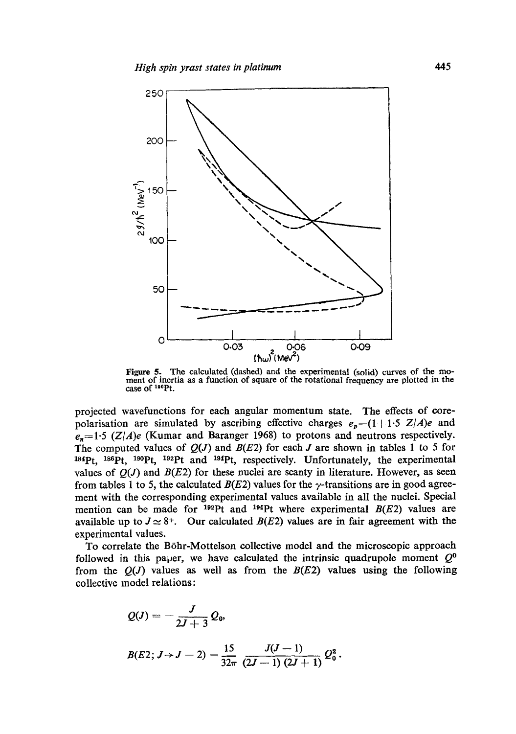

Figure 5. The calculated (dashed) and the experimental (solid) curves of the moment of inertia as a function of square of the rotational frequency are plotted in the case of  $190Pt$ .

projected wavefunctions for each angular momentum state. The effects of corepolarisation are simulated by ascribing effective charges  $e_n = (1+1.5 \text{ Z}/A)e$  and  $e_n=1.5$  (Z/A)e (Kumar and Baranger 1968) to protons and neutrons respectively. The computed values of  $Q(J)$  and  $B(E2)$  for each J are shown in tables 1 to 5 for 184Pt, <sup>186</sup>Pt, <sup>190</sup>Pt, <sup>192</sup>Pt and <sup>194</sup>Pt, respectively. Unfortunately, the experimental values of  $O(J)$  and  $B(E2)$  for these nuclei are scanty in literature. However, as seen from tables 1 to 5, the calculated  $B(E2)$  values for the  $\gamma$ -transitions are in good agreement with the corresponding experimental values available in all the nuclei. Special mention can be made for  $192$ Pt and  $194$ Pt where experimental  $B(E2)$  values are available up to  $J \simeq 8^+$ . Our calculated  $B(E2)$  values are in fair agreement with the experimental values.

To correlate the B6hr-Mottelson collective model and the microscopic approach followed in this paper, we have calculated the intrinsic quadrupole moment  $Q^0$ from the  $O(J)$  values as well as from the  $B(E2)$  values using the following collective model relations:

$$
Q(J) = -\frac{J}{2J+3} Q_0,
$$
  
\n
$$
B(E2; J \rightarrow J-2) = \frac{15}{32\pi} \frac{J(J-1)}{(2J-1)(2J+1)} Q_0^2.
$$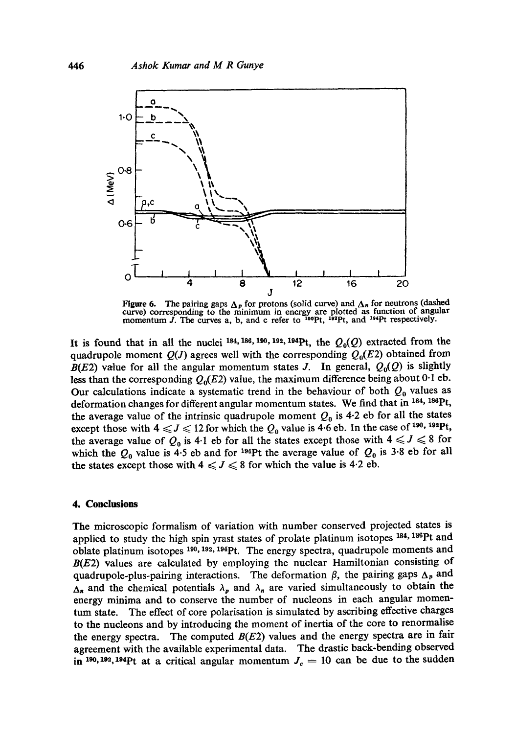

Figure 6. The pairing gaps  $\Delta_p$  for protons (solid curve) and  $\Delta_n$  for neutrons (dashed curve) corresponding to the minimum in energy are plotted as function of angular momentum J. The curves a, b, and c refer to <sup>190</sup>P

It is found that in all the nuclei 184, 186, 190, 192, 194Pt, the  $Q_0(Q)$  extracted from the quadrupole moment  $Q(J)$  agrees well with the corresponding  $Q_0(E2)$  obtained from  $B(E2)$  value for all the angular momentum states J. In general,  $Q_0(Q)$  is slightly less than the corresponding  $Q_0(E2)$  value, the maximum difference being about 0.1 eb. Our calculations indicate a systematic trend in the behaviour of both  $Q_0$  values as deformation changes for different angular momentum states. We find that in <sup>184, 186</sup>Pt, the average value of the intrinsic quadrupole moment  $Q_0$  is 4.2 eb for all the states except those with  $4 \leq J \leq 12$  for which the  $Q_0$  value is 4.6 eb. In the case of <sup>190</sup>, <sup>192</sup>Pt, the average value of  $Q_0$  is 4.1 eb for all the states except those with  $4 \leq l \leq 8$  for which the  $Q_0$  value is 4.5 eb and for <sup>194</sup>Pt the average value of  $Q_0$  is 3.8 eb for all the states except those with  $4 \leq J \leq 8$  for which the value is 4.2 eb.

### **4. Conclusions**

The microscopic formalism of variation with number conserved projected states is applied to study the high spin yrast states of prolate platinum isotopes 184, 186Pt and oblate platinum isotopes <sup>190, 192, 194</sup>Pt. The energy spectra, quadrupole moments and  $B(E2)$  values are calculated by employing the nuclear Hamiltonian consisting of quadrupole-plus-pairing interactions. The deformation  $\beta$ , the pairing gaps  $\Delta_p$  and  $\Delta_n$  and the chemical potentials  $\lambda_p$  and  $\lambda_n$  are varied simultaneously to obtain the energy minima and to conserve the number of nucleons in each angular momentum state. The effect of core polarisation is simulated by ascribing effective charges to the nucleons and by introducing the moment of inertia of the core to renormalise the energy spectra. The computed  $B(E2)$  values and the energy spectra are in fair agreement with the available experimental data. The drastic back-bending observed in <sup>190</sup>,<sup>192</sup>,<sup>194</sup>Pt at a critical angular momentum  $J_c = 10$  can be due to the sudden